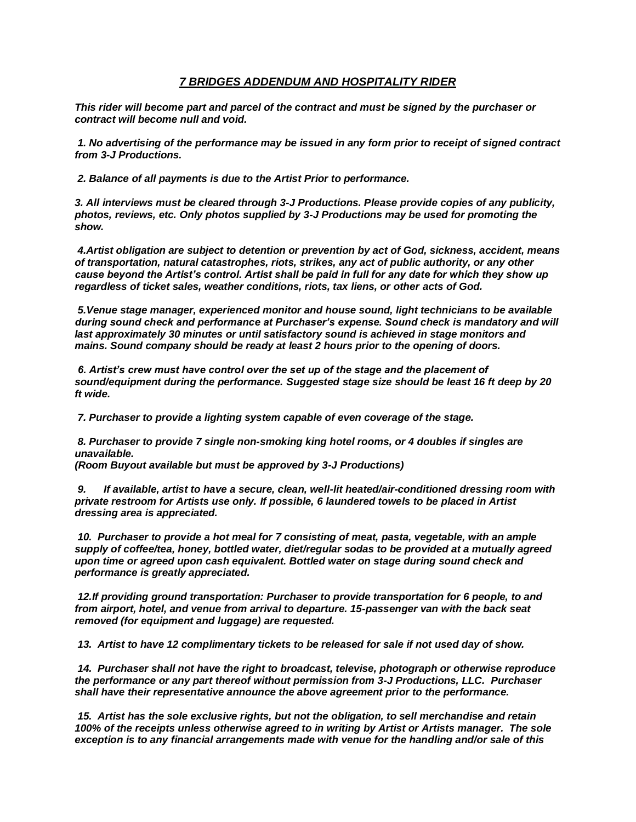## *7 BRIDGES ADDENDUM AND HOSPITALITY RIDER*

*This rider will become part and parcel of the contract and must be signed by the purchaser or contract will become null and void.*

*1. No advertising of the performance may be issued in any form prior to receipt of signed contract from 3-J Productions.*

*2. Balance of all payments is due to the Artist Prior to performance.*

*3. All interviews must be cleared through 3-J Productions. Please provide copies of any publicity, photos, reviews, etc. Only photos supplied by 3-J Productions may be used for promoting the show.*

*4.Artist obligation are subject to detention or prevention by act of God, sickness, accident, means of transportation, natural catastrophes, riots, strikes, any act of public authority, or any other cause beyond the Artist's control. Artist shall be paid in full for any date for which they show up regardless of ticket sales, weather conditions, riots, tax liens, or other acts of God.* 

*5.Venue stage manager, experienced monitor and house sound, light technicians to be available during sound check and performance at Purchaser's expense. Sound check is mandatory and will last approximately 30 minutes or until satisfactory sound is achieved in stage monitors and mains. Sound company should be ready at least 2 hours prior to the opening of doors.*

*6. Artist's crew must have control over the set up of the stage and the placement of sound/equipment during the performance. Suggested stage size should be least 16 ft deep by 20 ft wide.* 

*7. Purchaser to provide a lighting system capable of even coverage of the stage.* 

*8. Purchaser to provide 7 single non-smoking king hotel rooms, or 4 doubles if singles are unavailable.*

*(Room Buyout available but must be approved by 3-J Productions)* 

*9. If available, artist to have a secure, clean, well-lit heated/air-conditioned dressing room with private restroom for Artists use only. If possible, 6 laundered towels to be placed in Artist dressing area is appreciated.*

*10. Purchaser to provide a hot meal for 7 consisting of meat, pasta, vegetable, with an ample supply of coffee/tea, honey, bottled water, diet/regular sodas to be provided at a mutually agreed upon time or agreed upon cash equivalent. Bottled water on stage during sound check and performance is greatly appreciated.*

*12.If providing ground transportation: Purchaser to provide transportation for 6 people, to and from airport, hotel, and venue from arrival to departure. 15-passenger van with the back seat removed (for equipment and luggage) are requested.*

*13. Artist to have 12 complimentary tickets to be released for sale if not used day of show.*

*14. Purchaser shall not have the right to broadcast, televise, photograph or otherwise reproduce the performance or any part thereof without permission from 3-J Productions, LLC. Purchaser shall have their representative announce the above agreement prior to the performance.* 

*15. Artist has the sole exclusive rights, but not the obligation, to sell merchandise and retain 100% of the receipts unless otherwise agreed to in writing by Artist or Artists manager. The sole exception is to any financial arrangements made with venue for the handling and/or sale of this*